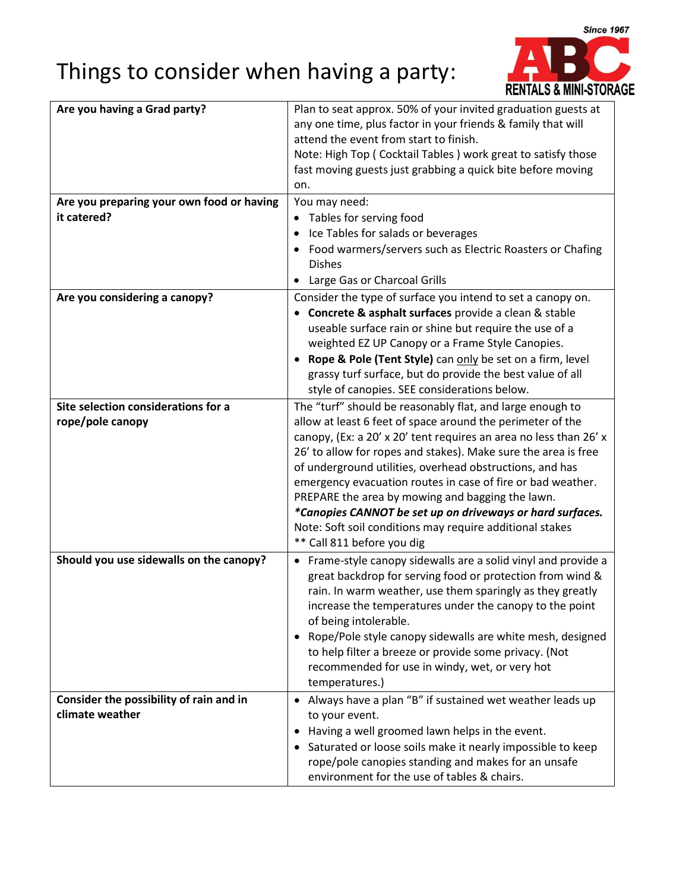## Things to consider when having a party:



| Are you having a Grad party?              | Plan to seat approx. 50% of your invited graduation guests at          |
|-------------------------------------------|------------------------------------------------------------------------|
|                                           | any one time, plus factor in your friends & family that will           |
|                                           | attend the event from start to finish.                                 |
|                                           | Note: High Top (Cocktail Tables) work great to satisfy those           |
|                                           | fast moving guests just grabbing a quick bite before moving            |
|                                           | on.                                                                    |
| Are you preparing your own food or having | You may need:                                                          |
| it catered?                               | Tables for serving food<br>$\bullet$                                   |
|                                           | Ice Tables for salads or beverages                                     |
|                                           | Food warmers/servers such as Electric Roasters or Chafing<br>$\bullet$ |
|                                           | <b>Dishes</b>                                                          |
|                                           | Large Gas or Charcoal Grills                                           |
| Are you considering a canopy?             | Consider the type of surface you intend to set a canopy on.            |
|                                           | Concrete & asphalt surfaces provide a clean & stable                   |
|                                           | useable surface rain or shine but require the use of a                 |
|                                           | weighted EZ UP Canopy or a Frame Style Canopies.                       |
|                                           | Rope & Pole (Tent Style) can only be set on a firm, level<br>$\bullet$ |
|                                           | grassy turf surface, but do provide the best value of all              |
|                                           | style of canopies. SEE considerations below.                           |
| Site selection considerations for a       | The "turf" should be reasonably flat, and large enough to              |
| rope/pole canopy                          | allow at least 6 feet of space around the perimeter of the             |
|                                           | canopy, (Ex: a 20' x 20' tent requires an area no less than 26' x      |
|                                           | 26' to allow for ropes and stakes). Make sure the area is free         |
|                                           | of underground utilities, overhead obstructions, and has               |
|                                           | emergency evacuation routes in case of fire or bad weather.            |
|                                           | PREPARE the area by mowing and bagging the lawn.                       |
|                                           | *Canopies CANNOT be set up on driveways or hard surfaces.              |
|                                           | Note: Soft soil conditions may require additional stakes               |
|                                           | ** Call 811 before you dig                                             |
| Should you use sidewalls on the canopy?   | • Frame-style canopy sidewalls are a solid vinyl and provide a         |
|                                           | great backdrop for serving food or protection from wind &              |
|                                           | rain. In warm weather, use them sparingly as they greatly              |
|                                           | increase the temperatures under the canopy to the point                |
|                                           | of being intolerable.                                                  |
|                                           | Rope/Pole style canopy sidewalls are white mesh, designed              |
|                                           | to help filter a breeze or provide some privacy. (Not                  |
|                                           | recommended for use in windy, wet, or very hot                         |
|                                           | temperatures.)                                                         |
| Consider the possibility of rain and in   | Always have a plan "B" if sustained wet weather leads up<br>$\bullet$  |
| climate weather                           | to your event.                                                         |
|                                           | Having a well groomed lawn helps in the event.                         |
|                                           | Saturated or loose soils make it nearly impossible to keep<br>٠        |
|                                           | rope/pole canopies standing and makes for an unsafe                    |
|                                           | environment for the use of tables & chairs.                            |